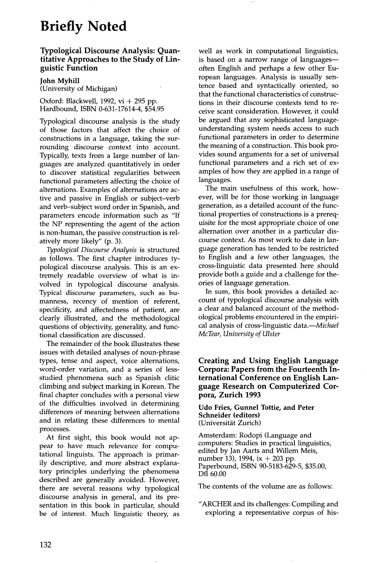## **Briefly Noted**

## **Typological Discourse Analysis: Quantitative Approaches to the Study of** Linguistic **Function**

**John Myhill** 

(University of Michigan)

Oxford: Blackwell, 1992, vi  $+$  295 pp. Hardbound, ISBN 0-631-17614-4, \$54.95

Typological discourse analysis is the study of those factors that affect the choice of constructions in a language, taking the surrounding discourse context into account. Typically, texts from a large number of languages are analyzed quantitatively in order to discover statistical regularities between functional parameters affecting the choice of alternations. Examples of alternations are active and passive in English or subject-verb and verb-subject word order in Spanish, and parameters encode information such as "If the NP representing the agent of the action is non-human, the passive construction is relatively more likely" (p. 3).

*Typological Discourse Analysis* is structured as follows. The first chapter introduces typological discourse analysis. This is an extremely readable overview of what is involved in typological discourse analysis. Typical discourse parameters, such as humanness, recency of mention of referent, specificity, and affectedness of patient, are clearly illustrated, and the methodological questions of objectivity, generality, and functional classification are discussed.

The remainder of the book illustrates these issues with detailed analyses of noun-phrase types, tense and aspect, voice alternations, word-order variation, and a series of lessstudied phenomena such as Spanish clitic climbing and subject marking in Korean. The final chapter concludes with a personal view of the difficulties involved in determining differences of meaning between alternations and in relating these differences to mental processes.

At first sight, this book would not appear to have much relevance for computational linguists. The approach is primarily descriptive, and more abstract explanatory principles underlying the phenomena described are generally avoided. However, there are several reasons why typological discourse analysis in general, and its presentation in this book in particular, should be of interest. Much linguistic theory, as well as work in computational linguistics, is based on a narrow range of languagesoften English and perhaps a few other European languages. Analysis is usually sentence based and syntactically oriented, so that the functional characteristics of constructions in their discourse contexts tend to receive scant consideration. However, it could be argued that any sophisticated languageunderstanding system needs access to such functional parameters in order to determine the meaning of a construction. This book provides sound arguments for a set of universal functional parameters and a rich set of examples of how they are applied in a range of languages.

The main usefulness of this work, however, will be for those working in language generation, as a detailed account of the functional properties of constructions is a prerequisite for the most appropriate choice of one alternation over another in a particular discourse context. As most work to date in language generation has tended to be restricted to English and a few other languages, the cross-linguistic data presented here should provide both a guide and a challenge for theories of language generation.

In sum, this book provides a detailed account of typological discourse analysis with a clear and balanced account of the methodological problems encountered in the empirical analysis of cross-linguistic data.--*Michael McTear, University of Ulster* 

## **Creating and Using English Language Corpora: Papers from the Fourteenth International Conference on English Language Research on Computerized Corpora, Zurich 1993**

**Udo Fries, Gunnel Tottie, and Peter Schneider (editors)**  (Universität Zurich)

Amsterdam: Rodopi (Language and computers: Studies in practical linguistics, edited by Jan Aarts and Willem Meis, number 13), 1994, ix  $+$  203 pp. Paperbound, ISBN 90-5183-629-5, \$35.00, Dfl 60.00

The contents of the volume are as follows:

"ARCHER and its challenges: Compiling and exploring a representative corpus of his